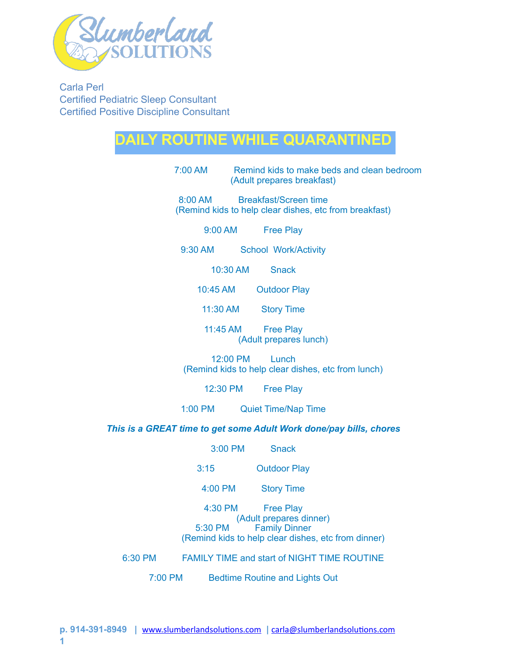

Carla Perl Certified Pediatric Sleep Consultant Certified Positive Discipline Consultant

## **DAILY ROUTINE WHILE QUARANTINED**

7:00 AM Remind kids to make beds and clean bedroom (Adult prepares breakfast)

8:00 AM Breakfast/Screen time (Remind kids to help clear dishes, etc from breakfast)

9:00 AM Free Play

9:30 AM School Work/Activity

10:30 AM Snack

10:45 AM Outdoor Play

11:30 AM Story Time

11:45 AM Free Play (Adult prepares lunch)

12:00 PM Lunch (Remind kids to help clear dishes, etc from lunch)

12:30 PM Free Play

1:00 PM Quiet Time/Nap Time

*This is a GREAT time to get some Adult Work done/pay bills, chores* 

3:00 PM Snack

3:15 Outdoor Play

4:00 PM Story Time

4:30 PM Free Play (Adult prepares dinner)<br>5:30 PM Family Dinner **Family Dinner** (Remind kids to help clear dishes, etc from dinner)

6:30 PM FAMILY TIME and start of NIGHT TIME ROUTINE

7:00 PM Bedtime Routine and Lights Out